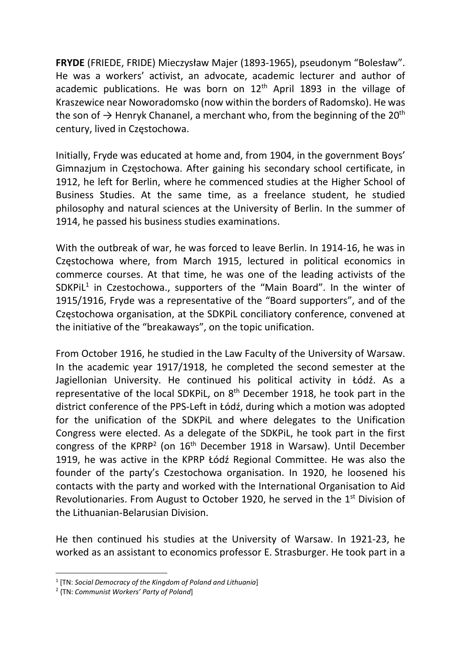FRYDE (FRIEDE, FRIDE) Mieczysław Majer (1893-1965), pseudonym "Bolesław". He was a workers' activist, an advocate, academic lecturer and author of academic publications. He was born on  $12<sup>th</sup>$  April 1893 in the village of Kraszewice near Noworadomsko (now within the borders of Radomsko). He was the son of  $\rightarrow$  Henryk Chananel, a merchant who, from the beginning of the 20<sup>th</sup> century, lived in Częstochowa.

Initially, Fryde was educated at home and, from 1904, in the government Boys' Gimnazjum in Częstochowa. After gaining his secondary school certificate, in 1912, he left for Berlin, where he commenced studies at the Higher School of Business Studies. At the same time, as a freelance student, he studied philosophy and natural sciences at the University of Berlin. In the summer of 1914, he passed his business studies examinations.

With the outbreak of war, he was forced to leave Berlin. In 1914-16, he was in Częstochowa where, from March 1915, lectured in political economics in commerce courses. At that time, he was one of the leading activists of the SDKPiL<sup>1</sup> in Czestochowa., supporters of the "Main Board". In the winter of 1915/1916, Fryde was a representative of the "Board supporters", and of the Częstochowa organisation, at the SDKPiL conciliatory conference, convened at the initiative of the "breakaways", on the topic unification.

From October 1916, he studied in the Law Faculty of the University of Warsaw. In the academic year 1917/1918, he completed the second semester at the Jagiellonian University. He continued his political activity in Łódź. As a representative of the local SDKPiL, on 8th December 1918, he took part in the district conference of the PPS-Left in Łódź, during which a motion was adopted for the unification of the SDKPiL and where delegates to the Unification Congress were elected. As a delegate of the SDKPiL, he took part in the first congress of the KPRP<sup>2</sup> (on  $16<sup>th</sup>$  December 1918 in Warsaw). Until December 1919, he was active in the KPRP Łódź Regional Committee. He was also the founder of the party's Czestochowa organisation. In 1920, he loosened his contacts with the party and worked with the International Organisation to Aid Revolutionaries. From August to October 1920, he served in the 1<sup>st</sup> Division of the Lithuanian-Belarusian Division.

He then continued his studies at the University of Warsaw. In 1921-23, he worked as an assistant to economics professor E. Strasburger. He took part in a

<sup>&</sup>lt;sup>1</sup> [TN: Social Democracy of the Kingdom of Poland and Lithuania]

<sup>&</sup>lt;sup>2</sup> {TN: Communist Workers' Party of Poland]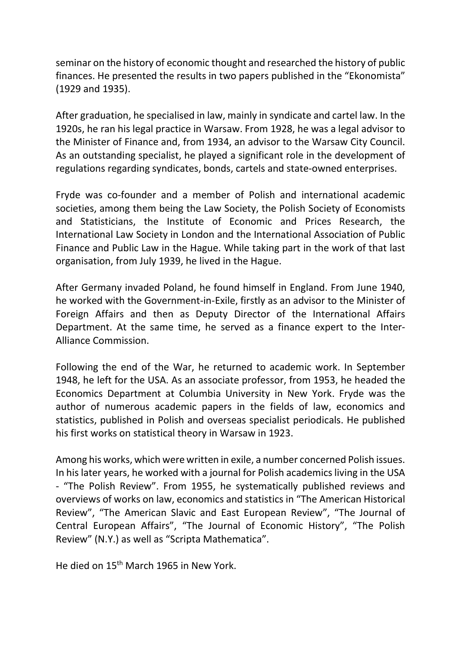seminar on the history of economic thought and researched the history of public finances. He presented the results in two papers published in the "Ekonomista" (1929 and 1935).

After graduation, he specialised in law, mainly in syndicate and cartel law. In the 1920s, he ran his legal practice in Warsaw. From 1928, he was a legal advisor to the Minister of Finance and, from 1934, an advisor to the Warsaw City Council. As an outstanding specialist, he played a significant role in the development of regulations regarding syndicates, bonds, cartels and state-owned enterprises.

Fryde was co-founder and a member of Polish and international academic societies, among them being the Law Society, the Polish Society of Economists and Statisticians, the Institute of Economic and Prices Research, the International Law Society in London and the International Association of Public Finance and Public Law in the Hague. While taking part in the work of that last organisation, from July 1939, he lived in the Hague.

After Germany invaded Poland, he found himself in England. From June 1940, he worked with the Government-in-Exile, firstly as an advisor to the Minister of Foreign Affairs and then as Deputy Director of the International Affairs Department. At the same time, he served as a finance expert to the Inter-Alliance Commission.

Following the end of the War, he returned to academic work. In September 1948, he left for the USA. As an associate professor, from 1953, he headed the Economics Department at Columbia University in New York. Fryde was the author of numerous academic papers in the fields of law, economics and statistics, published in Polish and overseas specialist periodicals. He published his first works on statistical theory in Warsaw in 1923.

Among his works, which were written in exile, a number concerned Polish issues. In his later years, he worked with a journal for Polish academics living in the USA - "The Polish Review". From 1955, he systematically published reviews and overviews of works on law, economics and statistics in "The American Historical Review", "The American Slavic and East European Review", "The Journal of Central European Affairs", "The Journal of Economic History", "The Polish Review" (N.Y.) as well as "Scripta Mathematica".

He died on 15th March 1965 in New York.